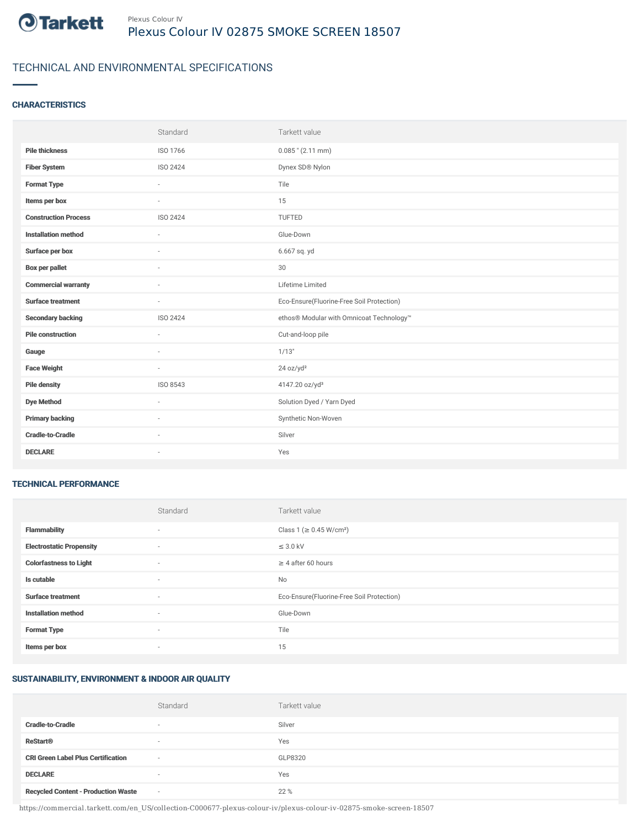

# TECHNICAL AND ENVIRONMENTAL SPECIFICATIONS

#### **CHARACTERISTICS**

|                             | Standard | Tarkett value                             |
|-----------------------------|----------|-------------------------------------------|
| <b>Pile thickness</b>       | ISO 1766 | $0.085$ " (2.11 mm)                       |
| <b>Fiber System</b>         | ISO 2424 | Dynex SD® Nylon                           |
| <b>Format Type</b>          | ×.       | Tile                                      |
| Items per box               | $\sim$   | 15                                        |
| <b>Construction Process</b> | ISO 2424 | TUFTED                                    |
| <b>Installation method</b>  | $\sim$   | Glue-Down                                 |
| Surface per box             | $\sim$   | 6.667 sq. yd                              |
| <b>Box per pallet</b>       | ×.       | 30                                        |
| <b>Commercial warranty</b>  | $\sim$   | Lifetime Limited                          |
| <b>Surface treatment</b>    | $\sim$   | Eco-Ensure(Fluorine-Free Soil Protection) |
| <b>Secondary backing</b>    | ISO 2424 | ethos® Modular with Omnicoat Technology™  |
| <b>Pile construction</b>    | ÷        | Cut-and-loop pile                         |
| Gauge                       | ×.       | 1/13"                                     |
| <b>Face Weight</b>          | $\sim$   | 24 oz/yd <sup>2</sup>                     |
| <b>Pile density</b>         | ISO 8543 | 4147.20 oz/yd <sup>3</sup>                |
| <b>Dye Method</b>           | $\sim$   | Solution Dyed / Yarn Dyed                 |
| <b>Primary backing</b>      | $\sim$   | Synthetic Non-Woven                       |
| <b>Cradle-to-Cradle</b>     |          | Silver                                    |
| <b>DECLARE</b>              | $\sim$   | Yes                                       |

#### TECHNICAL PERFORMANCE

|                                 | Standard                 | Tarkett value                             |
|---------------------------------|--------------------------|-------------------------------------------|
| <b>Flammability</b>             | ٠                        | Class 1 (≥ 0.45 W/cm <sup>2</sup> )       |
| <b>Electrostatic Propensity</b> | $\sim$                   | $\leq$ 3.0 kV                             |
| <b>Colorfastness to Light</b>   | ٠                        | $\geq 4$ after 60 hours                   |
| Is cutable                      | ٠                        | No                                        |
| <b>Surface treatment</b>        | ٠                        | Eco-Ensure(Fluorine-Free Soil Protection) |
| <b>Installation method</b>      | ٠                        | Glue-Down                                 |
| <b>Format Type</b>              | $\sim$                   | Tile                                      |
| Items per box                   | $\overline{\phantom{a}}$ | 15                                        |

## SUSTAINABILITY, ENVIRONMENT & INDOOR AIR QUALITY

|                                            | Standard                 | Tarkett value |
|--------------------------------------------|--------------------------|---------------|
| <b>Cradle-to-Cradle</b>                    | $\overline{\phantom{a}}$ | Silver        |
| <b>ReStart®</b>                            | $\overline{\phantom{a}}$ | Yes           |
| <b>CRI Green Label Plus Certification</b>  | $\sim$                   | GLP8320       |
| <b>DECLARE</b>                             | $\sim$                   | Yes           |
| <b>Recycled Content - Production Waste</b> | $\sim$                   | 22 %          |

https://commercial.tarkett.com/en\_US/collection-C000677-plexus-colour-iv/plexus-colour-iv-02875-smoke-screen-18507